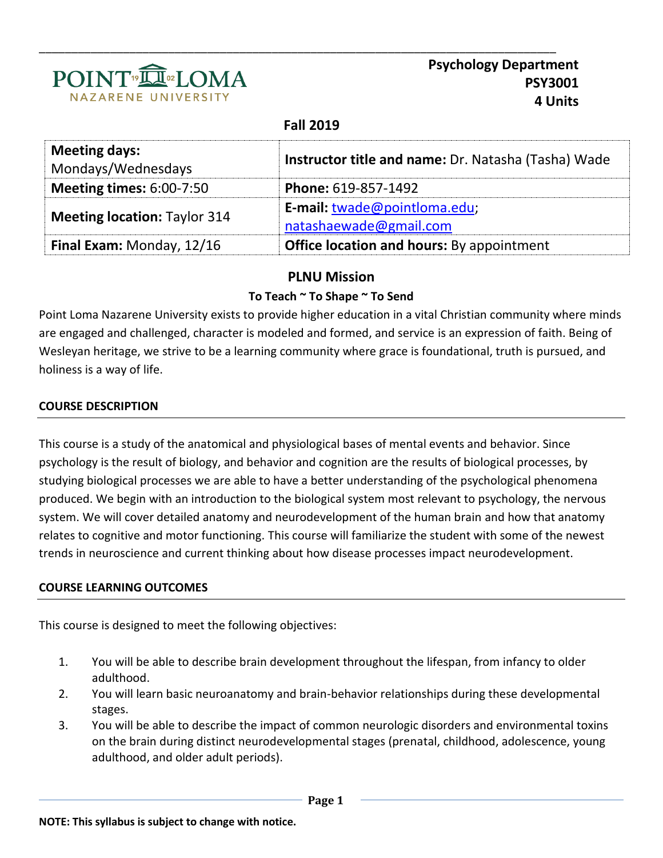

**Psychology Department PSY3001 4 Units**

## **Fall 2019**

\_\_\_\_\_\_\_\_\_\_\_\_\_\_\_\_\_\_\_\_\_\_\_\_\_\_\_\_\_\_\_\_\_\_\_\_\_\_\_\_\_\_\_\_\_\_\_\_\_\_\_\_\_\_\_\_\_\_\_\_\_\_\_\_\_\_\_\_\_\_\_\_\_\_\_\_\_\_\_\_

| <b>Meeting days:</b><br>Mondays/Wednesdays | Instructor title and name: Dr. Natasha (Tasha) Wade    |
|--------------------------------------------|--------------------------------------------------------|
| <b>Meeting times: 6:00-7:50</b>            | Phone: 619-857-1492                                    |
| <b>Meeting location: Taylor 314</b>        | E-mail: twade@pointloma.edu;<br>natashaewade@gmail.com |
| Final Exam: Monday, 12/16                  | <b>Office location and hours:</b> By appointment       |

# **PLNU Mission**

## **To Teach ~ To Shape ~ To Send**

Point Loma Nazarene University exists to provide higher education in a vital Christian community where minds are engaged and challenged, character is modeled and formed, and service is an expression of faith. Being of Wesleyan heritage, we strive to be a learning community where grace is foundational, truth is pursued, and holiness is a way of life.

## **COURSE DESCRIPTION**

This course is a study of the anatomical and physiological bases of mental events and behavior. Since psychology is the result of biology, and behavior and cognition are the results of biological processes, by studying biological processes we are able to have a better understanding of the psychological phenomena produced. We begin with an introduction to the biological system most relevant to psychology, the nervous system. We will cover detailed anatomy and neurodevelopment of the human brain and how that anatomy relates to cognitive and motor functioning. This course will familiarize the student with some of the newest trends in neuroscience and current thinking about how disease processes impact neurodevelopment.

#### **COURSE LEARNING OUTCOMES**

This course is designed to meet the following objectives:

- 1. You will be able to describe brain development throughout the lifespan, from infancy to older adulthood.
- 2. You will learn basic neuroanatomy and brain-behavior relationships during these developmental stages.
- 3. You will be able to describe the impact of common neurologic disorders and environmental toxins on the brain during distinct neurodevelopmental stages (prenatal, childhood, adolescence, young adulthood, and older adult periods).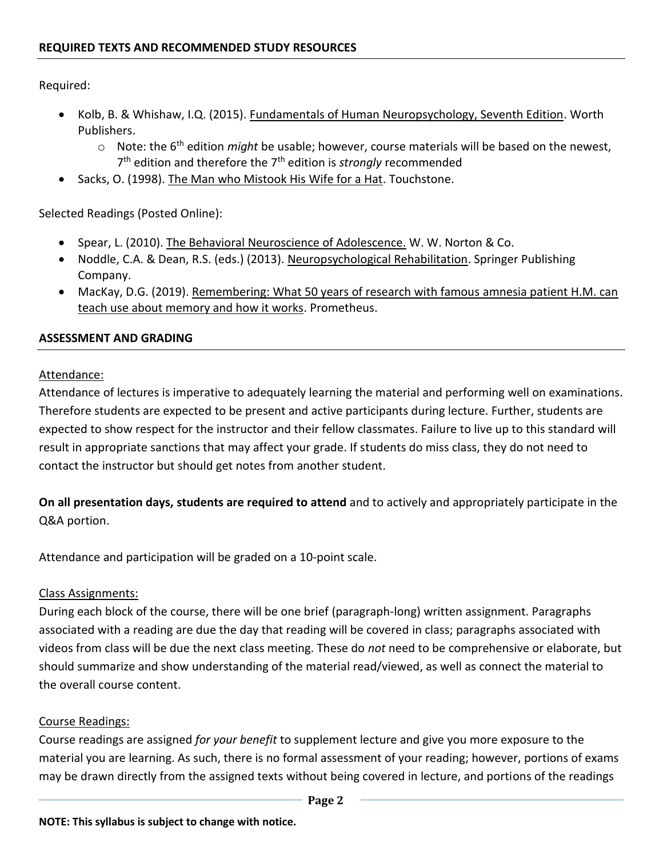Required:

- Kolb, B. & Whishaw, I.Q. (2015). Fundamentals of Human Neuropsychology, Seventh Edition. Worth Publishers.
	- o Note: the 6th edition *might* be usable; however, course materials will be based on the newest, 7<sup>th</sup> edition and therefore the 7<sup>th</sup> edition is *strongly* recommended
- Sacks, O. (1998). The Man who Mistook His Wife for a Hat. Touchstone.

Selected Readings (Posted Online):

- **Spear, L. (2010).** The Behavioral Neuroscience of Adolescence. W. W. Norton & Co.
- Noddle, C.A. & Dean, R.S. (eds.) (2013). Neuropsychological Rehabilitation. Springer Publishing Company.
- MacKay, D.G. (2019). Remembering: What 50 years of research with famous amnesia patient H.M. can teach use about memory and how it works. Prometheus.

### **ASSESSMENT AND GRADING**

### Attendance:

Attendance of lectures is imperative to adequately learning the material and performing well on examinations. Therefore students are expected to be present and active participants during lecture. Further, students are expected to show respect for the instructor and their fellow classmates. Failure to live up to this standard will result in appropriate sanctions that may affect your grade. If students do miss class, they do not need to contact the instructor but should get notes from another student.

**On all presentation days, students are required to attend** and to actively and appropriately participate in the Q&A portion.

Attendance and participation will be graded on a 10-point scale.

## Class Assignments:

During each block of the course, there will be one brief (paragraph-long) written assignment. Paragraphs associated with a reading are due the day that reading will be covered in class; paragraphs associated with videos from class will be due the next class meeting. These do *not* need to be comprehensive or elaborate, but should summarize and show understanding of the material read/viewed, as well as connect the material to the overall course content.

## Course Readings:

Course readings are assigned *for your benefit* to supplement lecture and give you more exposure to the material you are learning. As such, there is no formal assessment of your reading; however, portions of exams may be drawn directly from the assigned texts without being covered in lecture, and portions of the readings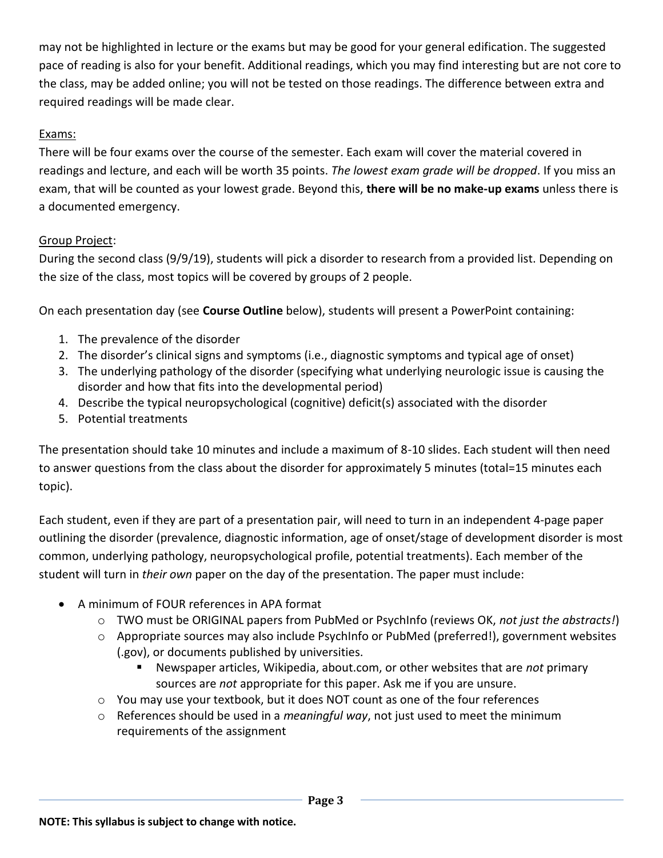may not be highlighted in lecture or the exams but may be good for your general edification. The suggested pace of reading is also for your benefit. Additional readings, which you may find interesting but are not core to the class, may be added online; you will not be tested on those readings. The difference between extra and required readings will be made clear.

## Exams:

There will be four exams over the course of the semester. Each exam will cover the material covered in readings and lecture, and each will be worth 35 points. *The lowest exam grade will be dropped*. If you miss an exam, that will be counted as your lowest grade. Beyond this, **there will be no make-up exams** unless there is a documented emergency.

## Group Project:

During the second class (9/9/19), students will pick a disorder to research from a provided list. Depending on the size of the class, most topics will be covered by groups of 2 people.

On each presentation day (see **Course Outline** below), students will present a PowerPoint containing:

- 1. The prevalence of the disorder
- 2. The disorder's clinical signs and symptoms (i.e., diagnostic symptoms and typical age of onset)
- 3. The underlying pathology of the disorder (specifying what underlying neurologic issue is causing the disorder and how that fits into the developmental period)
- 4. Describe the typical neuropsychological (cognitive) deficit(s) associated with the disorder
- 5. Potential treatments

The presentation should take 10 minutes and include a maximum of 8-10 slides. Each student will then need to answer questions from the class about the disorder for approximately 5 minutes (total=15 minutes each topic).

Each student, even if they are part of a presentation pair, will need to turn in an independent 4-page paper outlining the disorder (prevalence, diagnostic information, age of onset/stage of development disorder is most common, underlying pathology, neuropsychological profile, potential treatments). Each member of the student will turn in *their own* paper on the day of the presentation. The paper must include:

- A minimum of FOUR references in APA format
	- o TWO must be ORIGINAL papers from PubMed or PsychInfo (reviews OK, *not just the abstracts!*)
	- o Appropriate sources may also include PsychInfo or PubMed (preferred!), government websites (.gov), or documents published by universities.
		- Newspaper articles, Wikipedia, about.com, or other websites that are *not* primary sources are *not* appropriate for this paper. Ask me if you are unsure.
	- $\circ$  You may use your textbook, but it does NOT count as one of the four references
	- o References should be used in a *meaningful way*, not just used to meet the minimum requirements of the assignment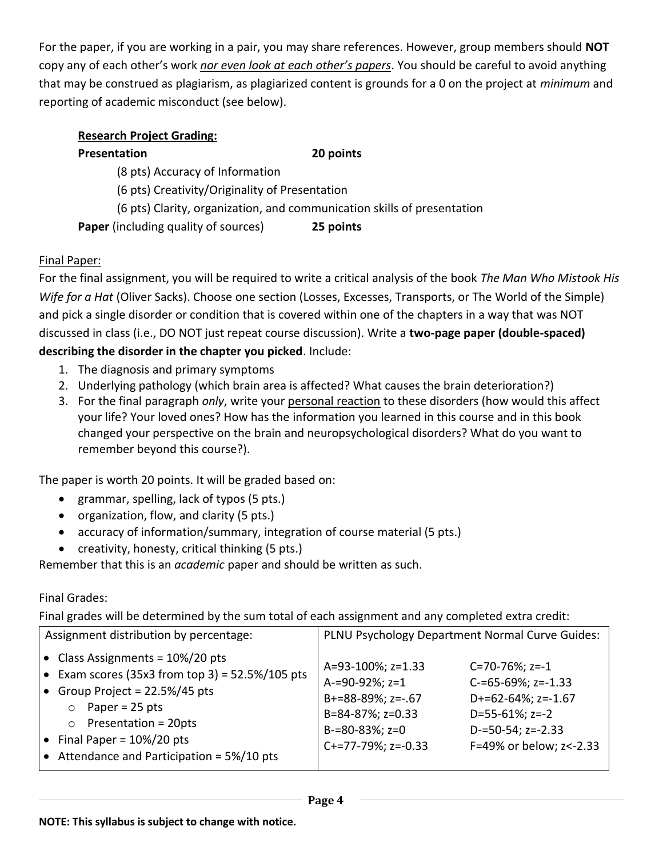For the paper, if you are working in a pair, you may share references. However, group members should **NOT** copy any of each other's work *nor even look at each other's papers*. You should be careful to avoid anything that may be construed as plagiarism, as plagiarized content is grounds for a 0 on the project at *minimum* and reporting of academic misconduct (see below).

## **Research Project Grading:**

# **Presentation 20 points** (8 pts) Accuracy of Information (6 pts) Creativity/Originality of Presentation (6 pts) Clarity, organization, and communication skills of presentation **Paper** (including quality of sources) **25 points**

# Final Paper:

For the final assignment, you will be required to write a critical analysis of the book *The Man Who Mistook His Wife for a Hat* (Oliver Sacks). Choose one section (Losses, Excesses, Transports, or The World of the Simple) and pick a single disorder or condition that is covered within one of the chapters in a way that was NOT discussed in class (i.e., DO NOT just repeat course discussion). Write a **two-page paper (double-spaced) describing the disorder in the chapter you picked**. Include:

- 1. The diagnosis and primary symptoms
- 2. Underlying pathology (which brain area is affected? What causes the brain deterioration?)
- 3. For the final paragraph *only*, write your personal reaction to these disorders (how would this affect your life? Your loved ones? How has the information you learned in this course and in this book changed your perspective on the brain and neuropsychological disorders? What do you want to remember beyond this course?).

The paper is worth 20 points. It will be graded based on:

- grammar, spelling, lack of typos (5 pts.)
- organization, flow, and clarity (5 pts.)
- accuracy of information/summary, integration of course material (5 pts.)
- creativity, honesty, critical thinking (5 pts.)

Remember that this is an *academic* paper and should be written as such.

# Final Grades:

Final grades will be determined by the sum total of each assignment and any completed extra credit:

| Assignment distribution by percentage:                                                                                                                                                                                                                                                        | PLNU Psychology Department Normal Curve Guides:                                                                                                                                                                                                                                            |
|-----------------------------------------------------------------------------------------------------------------------------------------------------------------------------------------------------------------------------------------------------------------------------------------------|--------------------------------------------------------------------------------------------------------------------------------------------------------------------------------------------------------------------------------------------------------------------------------------------|
| $\bullet$ Class Assignments = 10%/20 pts<br><b>•</b> Exam scores (35x3 from top 3) = 52.5%/105 pts<br>• Group Project = 22.5%/45 pts<br>Paper = $25$ pts<br>$\circ$<br>Presentation = 20pts<br>$\circ$<br>• Final Paper = $10\%/20$ pts<br>$\bullet$ Attendance and Participation = 5%/10 pts | A=93-100%; z=1.33<br>$C = 70 - 76\%$ ; z=-1<br>A-=90-92%; z=1<br>$C = 65 - 69\%$ ; z= $-1.33$<br>B+=88-89%; z=-.67<br>$D+=62-64\%; z=-1.67$<br>B=84-87%; z=0.33<br>$D=55-61\%; z=-2$<br>$B=80-83\%; z=0$<br>$D = 50 - 54$ ; z=-2.33<br>F=49% or below; z <- 2.33<br>$C+=77-79\%$ ; z=-0.33 |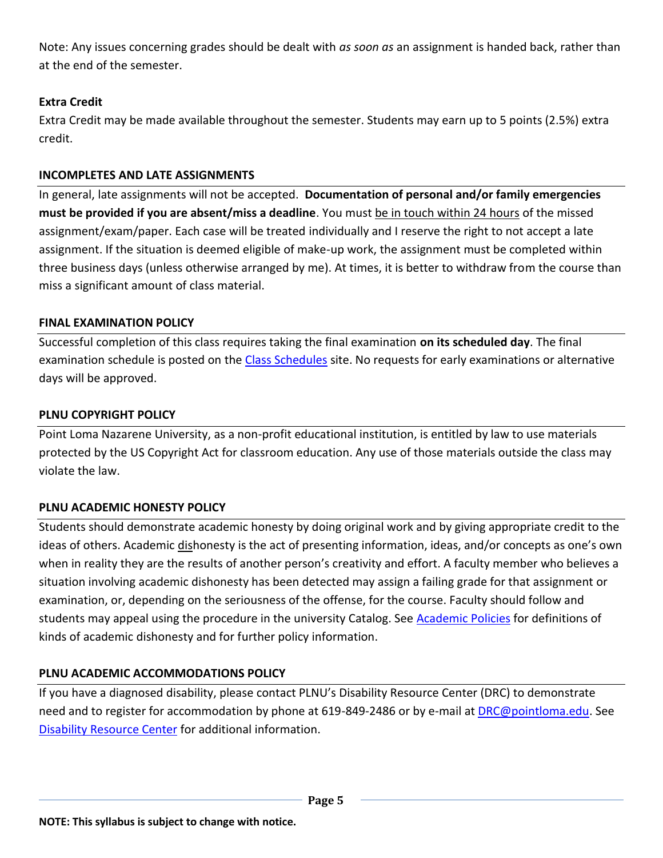Note: Any issues concerning grades should be dealt with *as soon as* an assignment is handed back, rather than at the end of the semester.

# **Extra Credit**

Extra Credit may be made available throughout the semester. Students may earn up to 5 points (2.5%) extra credit.

## **INCOMPLETES AND LATE ASSIGNMENTS**

In general, late assignments will not be accepted. **Documentation of personal and/or family emergencies must be provided if you are absent/miss a deadline**. You must be in touch within 24 hours of the missed assignment/exam/paper. Each case will be treated individually and I reserve the right to not accept a late assignment. If the situation is deemed eligible of make-up work, the assignment must be completed within three business days (unless otherwise arranged by me). At times, it is better to withdraw from the course than miss a significant amount of class material.

# **FINAL EXAMINATION POLICY**

Successful completion of this class requires taking the final examination **on its scheduled day**. The final examination schedule is posted on the [Class Schedules](http://www.pointloma.edu/experience/academics/class-schedules) site. No requests for early examinations or alternative days will be approved.

## **PLNU COPYRIGHT POLICY**

Point Loma Nazarene University, as a non-profit educational institution, is entitled by law to use materials protected by the US Copyright Act for classroom education. Any use of those materials outside the class may violate the law.

# **PLNU ACADEMIC HONESTY POLICY**

Students should demonstrate academic honesty by doing original work and by giving appropriate credit to the ideas of others. Academic dishonesty is the act of presenting information, ideas, and/or concepts as one's own when in reality they are the results of another person's creativity and effort. A faculty member who believes a situation involving academic dishonesty has been detected may assign a failing grade for that assignment or examination, or, depending on the seriousness of the offense, for the course. Faculty should follow and students may appeal using the procedure in the university Catalog. See [Academic Policies](http://catalog.pointloma.edu/content.php?catoid=18&navoid=1278) for definitions of kinds of academic dishonesty and for further policy information.

# **PLNU ACADEMIC ACCOMMODATIONS POLICY**

If you have a diagnosed disability, please contact PLNU's Disability Resource Center (DRC) to demonstrate need and to register for accommodation by phone at 619-849-2486 or by e-mail at **DRC@pointloma.edu**. See [Disability Resource Center](http://www.pointloma.edu/experience/offices/administrative-offices/academic-advising-office/disability-resource-center) for additional information.